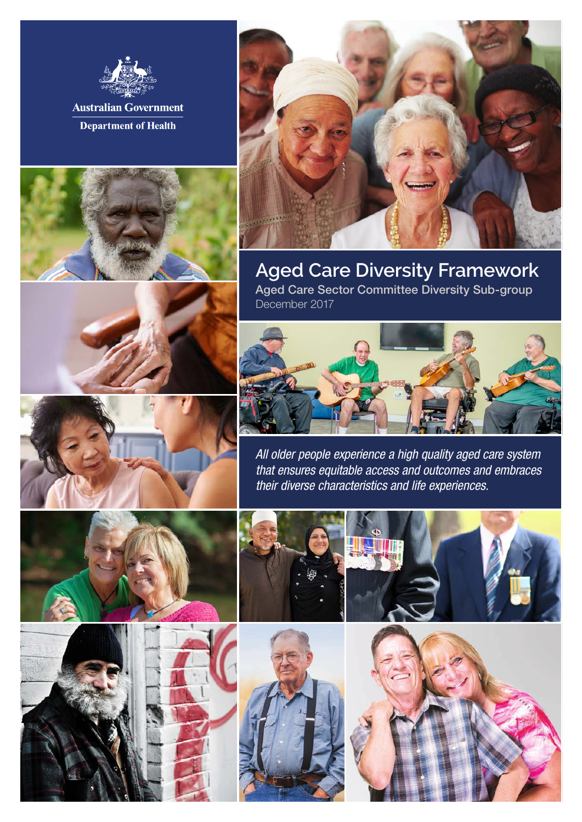

**Department of Health** 





# **Aged Care Diversity Framework**

Aged Care Sector Committee Diversity Sub-group December 2017



*All older people experience a high quality aged care system that ensures equitable access and outcomes and embraces their diverse characteristics and life experiences.*









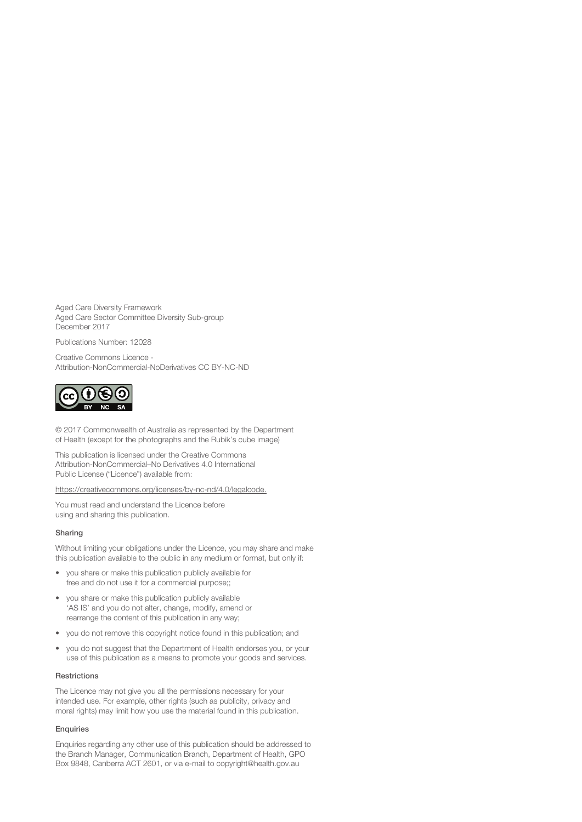Aged Care Diversity Framework Aged Care Sector Committee Diversity Sub-group December 2017

Publications Number: 12028

Creative Commons Licence - Attribution-NonCommercial-NoDerivatives CC BY-NC-ND



© 2017 Commonwealth of Australia as represented by the Department of Health (except for the photographs and the Rubik's cube image)

This publication is licensed under the Creative Commons Attribution-NonCommercial–No Derivatives 4.0 International Public License ("Licence") available from:

https://creativecommons.org/licenses/by-nc-nd/4.0/legalcode.

You must read and understand the Licence before using and sharing this publication.

#### Sharing

Without limiting your obligations under the Licence, you may share and make this publication available to the public in any medium or format, but only if:

- you share or make this publication publicly available for free and do not use it for a commercial purpose;;
- you share or make this publication publicly available 'AS IS' and you do not alter, change, modify, amend or rearrange the content of this publication in any way;
- you do not remove this copyright notice found in this publication; and
- you do not suggest that the Department of Health endorses you, or your use of this publication as a means to promote your goods and services.

#### Restrictions

The Licence may not give you all the permissions necessary for your intended use. For example, other rights (such as publicity, privacy and moral rights) may limit how you use the material found in this publication.

#### **Enquiries**

Enquiries regarding any other use of this publication should be addressed to the Branch Manager, Communication Branch, Department of Health, GPO Box 9848, Canberra ACT 2601, or via e-mail to copyright@health.gov.au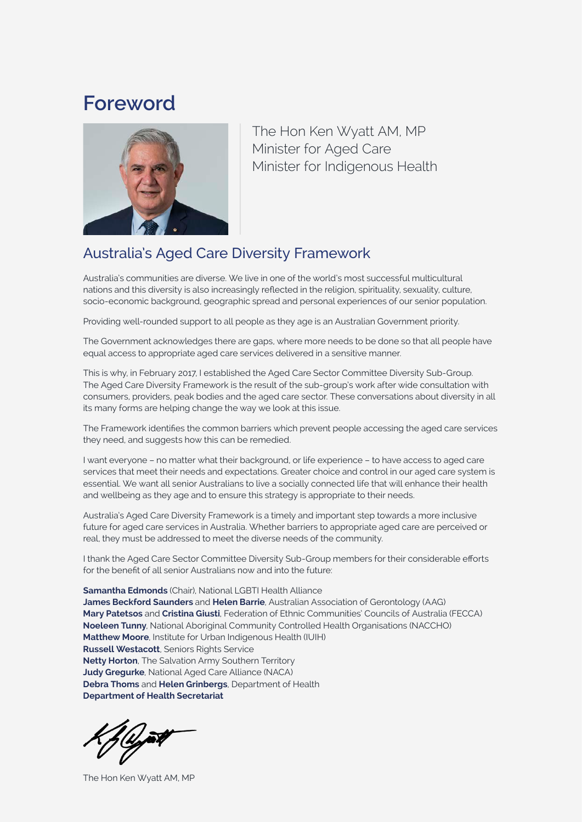# **Foreword**



The Hon Ken Wyatt AM, MP Minister for Aged Care Minister for Indigenous Health

### Australia's Aged Care Diversity Framework

Australia's communities are diverse. We live in one of the world's most successful multicultural nations and this diversity is also increasingly reflected in the religion, spirituality, sexuality, culture, socio-economic background, geographic spread and personal experiences of our senior population.

Providing well-rounded support to all people as they age is an Australian Government priority.

The Government acknowledges there are gaps, where more needs to be done so that all people have equal access to appropriate aged care services delivered in a sensitive manner.

This is why, in February 2017, I established the Aged Care Sector Committee Diversity Sub-Group. The Aged Care Diversity Framework is the result of the sub-group's work after wide consultation with consumers, providers, peak bodies and the aged care sector. These conversations about diversity in all its many forms are helping change the way we look at this issue.

The Framework identifies the common barriers which prevent people accessing the aged care services they need, and suggests how this can be remedied.

I want everyone – no matter what their background, or life experience – to have access to aged care services that meet their needs and expectations. Greater choice and control in our aged care system is essential. We want all senior Australians to live a socially connected life that will enhance their health and wellbeing as they age and to ensure this strategy is appropriate to their needs.

Australia's Aged Care Diversity Framework is a timely and important step towards a more inclusive future for aged care services in Australia. Whether barriers to appropriate aged care are perceived or real, they must be addressed to meet the diverse needs of the community.

I thank the Aged Care Sector Committee Diversity Sub-Group members for their considerable efforts for the benefit of all senior Australians now and into the future:

**Samantha Edmonds** (Chair), National LGBTI Health Alliance **James Beckford Saunders** and **Helen Barrie**, Australian Association of Gerontology (AAG) **Mary Patetsos** and **Cristina Giusti**, Federation of Ethnic Communities' Councils of Australia (FECCA) **Noeleen Tunny**, National Aboriginal Community Controlled Health Organisations (NACCHO) **Matthew Moore**, Institute for Urban Indigenous Health (IUIH) **Russell Westacott**, Seniors Rights Service **Netty Horton**, The Salvation Army Southern Territory **Judy Gregurke**, National Aged Care Alliance (NACA) **Debra Thoms** and **Helen Grinbergs**, Department of Health **Department of Health Secretariat**

The Hon Ken Wyatt AM, MP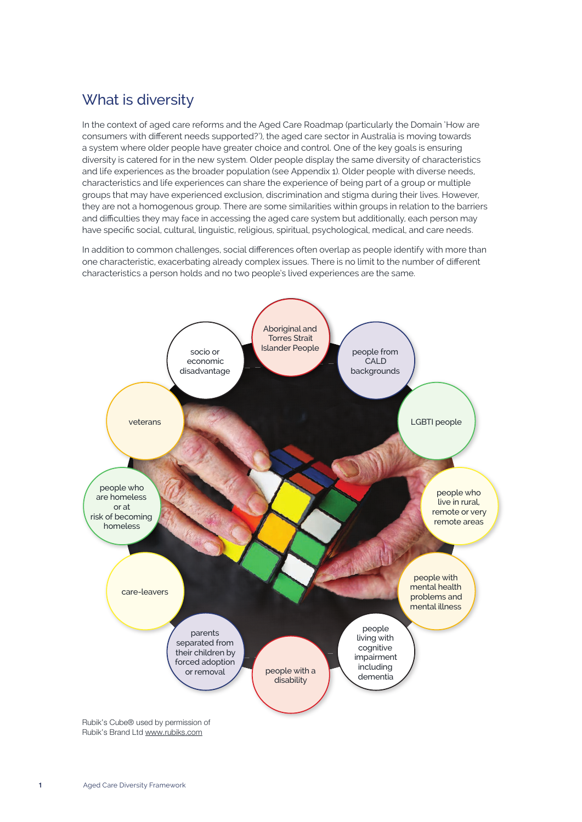## What is diversity

In the context of aged care reforms and the Aged Care Roadmap (particularly the Domain 'How are consumers with different needs supported?'), the aged care sector in Australia is moving towards a system where older people have greater choice and control. One of the key goals is ensuring diversity is catered for in the new system. Older people display the same diversity of characteristics and life experiences as the broader population (see Appendix 1). Older people with diverse needs, characteristics and life experiences can share the experience of being part of a group or multiple groups that may have experienced exclusion, discrimination and stigma during their lives. However, they are not a homogenous group. There are some similarities within groups in relation to the barriers and difficulties they may face in accessing the aged care system but additionally, each person may have specific social, cultural, linguistic, religious, spiritual, psychological, medical, and care needs.

In addition to common challenges, social differences often overlap as people identify with more than one characteristic, exacerbating already complex issues. There is no limit to the number of different characteristics a person holds and no two people's lived experiences are the same.

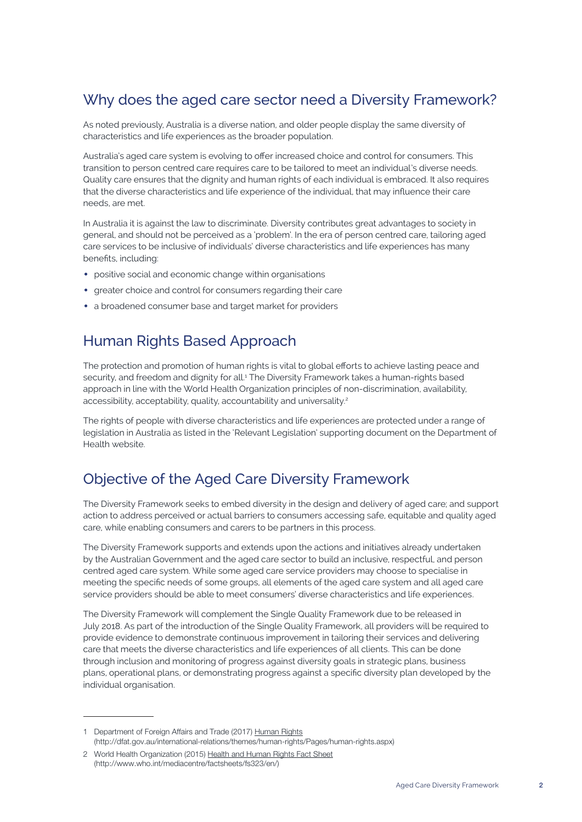## Why does the aged care sector need a Diversity Framework?

As noted previously, Australia is a diverse nation, and older people display the same diversity of characteristics and life experiences as the broader population.

Australia's aged care system is evolving to offer increased choice and control for consumers. This transition to person centred care requires care to be tailored to meet an individual's diverse needs. Quality care ensures that the dignity and human rights of each individual is embraced. It also requires that the diverse characteristics and life experience of the individual, that may influence their care needs, are met.

In Australia it is against the law to discriminate. Diversity contributes great advantages to society in general, and should not be perceived as a 'problem'. In the era of person centred care, tailoring aged care services to be inclusive of individuals' diverse characteristics and life experiences has many benefits, including:

- positive social and economic change within organisations
- greater choice and control for consumers regarding their care
- a broadened consumer base and target market for providers

#### Human Rights Based Approach

The protection and promotion of human rights is vital to global efforts to achieve lasting peace and security, and freedom and dignity for all.1 The Diversity Framework takes a human-rights based approach in line with the World Health Organization principles of non-discrimination, availability, accessibility, acceptability, quality, accountability and universality.<sup>2</sup>

The rights of people with diverse characteristics and life experiences are protected under a range of legislation in Australia as listed in the 'Relevant Legislation' supporting document on the Department of Health website.

#### Objective of the Aged Care Diversity Framework

The Diversity Framework seeks to embed diversity in the design and delivery of aged care; and support action to address perceived or actual barriers to consumers accessing safe, equitable and quality aged care, while enabling consumers and carers to be partners in this process.

The Diversity Framework supports and extends upon the actions and initiatives already undertaken by the Australian Government and the aged care sector to build an inclusive, respectful, and person centred aged care system. While some aged care service providers may choose to specialise in meeting the specific needs of some groups, all elements of the aged care system and all aged care service providers should be able to meet consumers' diverse characteristics and life experiences.

The Diversity Framework will complement the Single Quality Framework due to be released in July 2018. As part of the introduction of the Single Quality Framework, all providers will be required to provide evidence to demonstrate continuous improvement in tailoring their services and delivering care that meets the diverse characteristics and life experiences of all clients. This can be done through inclusion and monitoring of progress against diversity goals in strategic plans, business plans, operational plans, or demonstrating progress against a specific diversity plan developed by the individual organisation.

<sup>1</sup> Department of Foreign Affairs and Trade (2017) Human Rights (http://dfat.gov.au/international-relations/themes/human-rights/Pages/human-rights.aspx)

<sup>2</sup> World Health Organization (2015) Health and Human Rights Fact Sheet (http://www.who.int/mediacentre/factsheets/fs323/en/)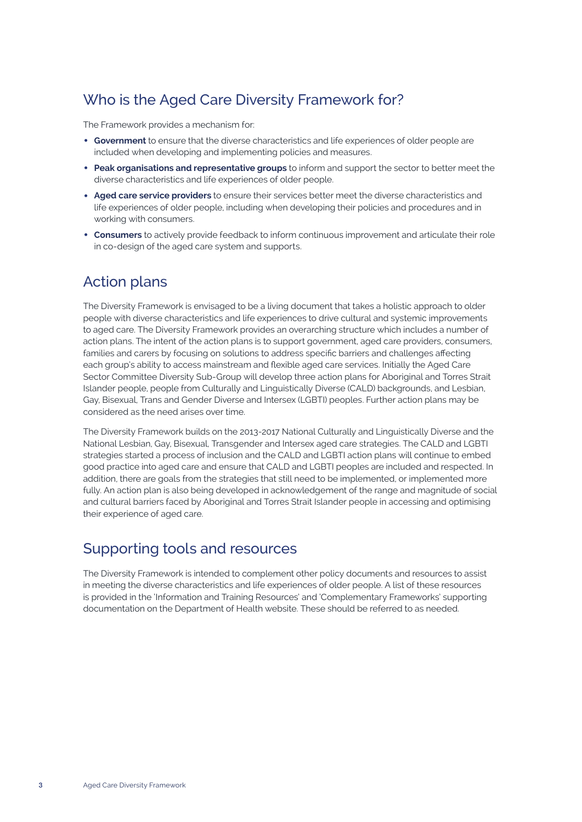## Who is the Aged Care Diversity Framework for?

The Framework provides a mechanism for:

- **Government** to ensure that the diverse characteristics and life experiences of older people are included when developing and implementing policies and measures.
- **Peak organisations and representative groups** to inform and support the sector to better meet the diverse characteristics and life experiences of older people.
- **Aged care service providers** to ensure their services better meet the diverse characteristics and life experiences of older people, including when developing their policies and procedures and in working with consumers.
- **Consumers** to actively provide feedback to inform continuous improvement and articulate their role in co-design of the aged care system and supports.

#### Action plans

The Diversity Framework is envisaged to be a living document that takes a holistic approach to older people with diverse characteristics and life experiences to drive cultural and systemic improvements to aged care. The Diversity Framework provides an overarching structure which includes a number of action plans. The intent of the action plans is to support government, aged care providers, consumers, families and carers by focusing on solutions to address specific barriers and challenges affecting each group's ability to access mainstream and flexible aged care services. Initially the Aged Care Sector Committee Diversity Sub-Group will develop three action plans for Aboriginal and Torres Strait Islander people, people from Culturally and Linguistically Diverse (CALD) backgrounds, and Lesbian, Gay, Bisexual, Trans and Gender Diverse and Intersex (LGBTI) peoples. Further action plans may be considered as the need arises over time.

The Diversity Framework builds on the 2013-2017 National Culturally and Linguistically Diverse and the National Lesbian, Gay, Bisexual, Transgender and Intersex aged care strategies. The CALD and LGBTI strategies started a process of inclusion and the CALD and LGBTI action plans will continue to embed good practice into aged care and ensure that CALD and LGBTI peoples are included and respected. In addition, there are goals from the strategies that still need to be implemented, or implemented more fully. An action plan is also being developed in acknowledgement of the range and magnitude of social and cultural barriers faced by Aboriginal and Torres Strait Islander people in accessing and optimising their experience of aged care.

### Supporting tools and resources

The Diversity Framework is intended to complement other policy documents and resources to assist in meeting the diverse characteristics and life experiences of older people. A list of these resources is provided in the 'Information and Training Resources' and 'Complementary Frameworks' supporting documentation on the Department of Health website. These should be referred to as needed.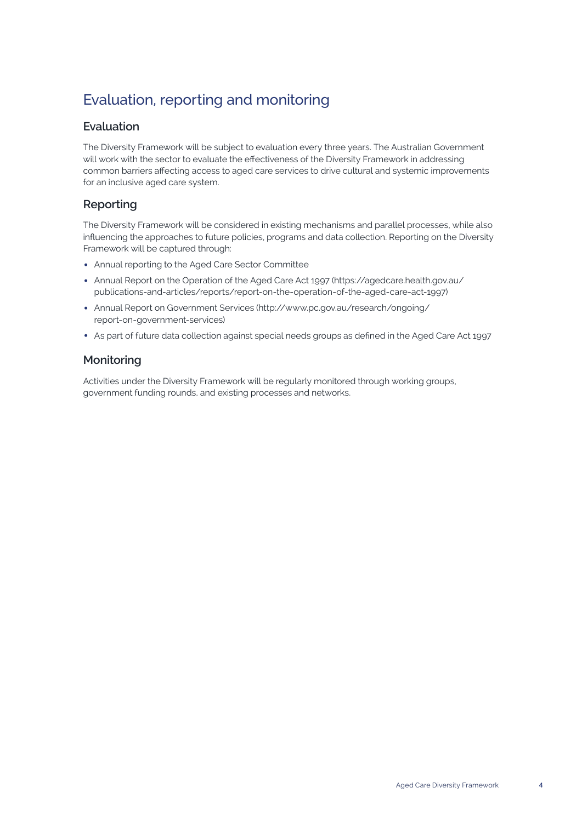# Evaluation, reporting and monitoring

#### **Evaluation**

The Diversity Framework will be subject to evaluation every three years. The Australian Government will work with the sector to evaluate the effectiveness of the Diversity Framework in addressing common barriers affecting access to aged care services to drive cultural and systemic improvements for an inclusive aged care system.

#### **Reporting**

The Diversity Framework will be considered in existing mechanisms and parallel processes, while also influencing the approaches to future policies, programs and data collection. Reporting on the Diversity Framework will be captured through:

- Annual reporting to the Aged Care Sector Committee
- Annual Report on the Operation of the Aged Care Act 1997 (https://agedcare.health.gov.au/ publications-and-articles/reports/report-on-the-operation-of-the-aged-care-act-1997)
- Annual Report on Government Services (http://www.pc.gov.au/research/ongoing/ report-on-government-services)
- As part of future data collection against special needs groups as defined in the Aged Care Act 1997

#### **Monitoring**

Activities under the Diversity Framework will be regularly monitored through working groups, government funding rounds, and existing processes and networks.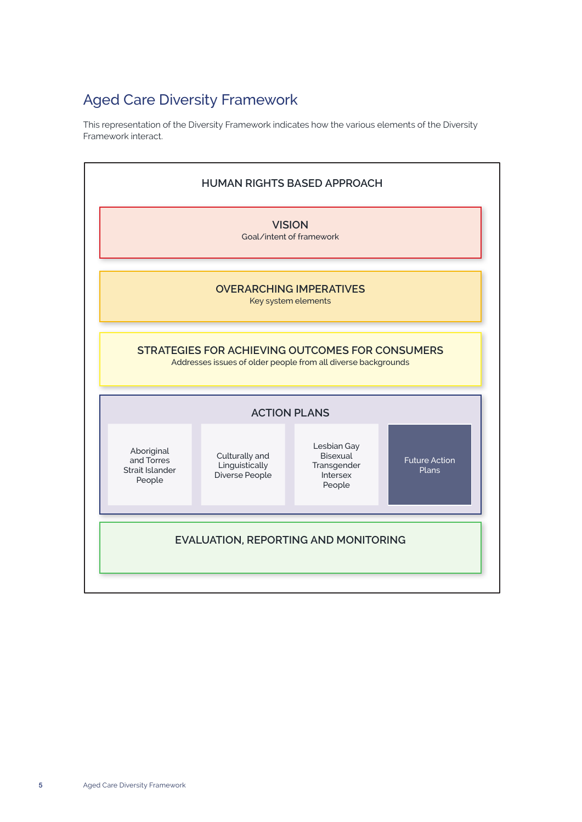# Aged Care Diversity Framework

This representation of the Diversity Framework indicates how the various elements of the Diversity Framework interact.

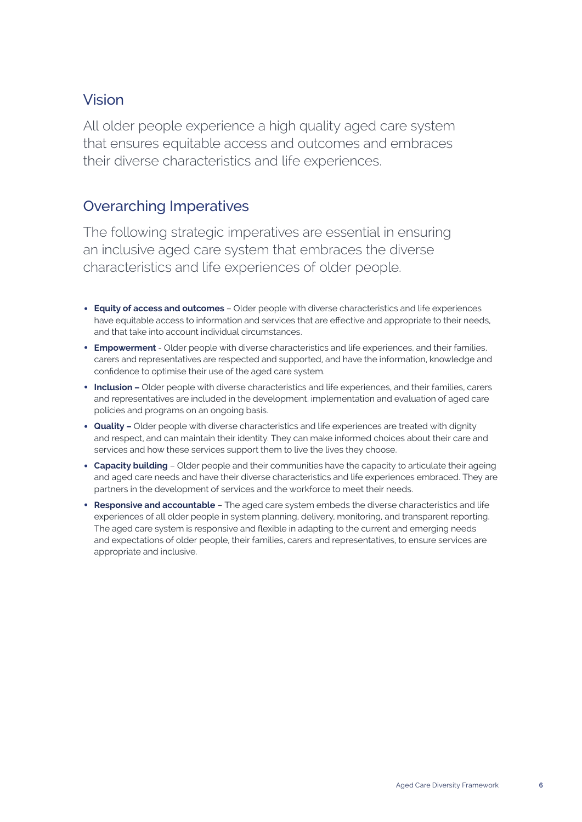### Vision

All older people experience a high quality aged care system that ensures equitable access and outcomes and embraces their diverse characteristics and life experiences.

#### Overarching Imperatives

The following strategic imperatives are essential in ensuring an inclusive aged care system that embraces the diverse characteristics and life experiences of older people.

- **Equity of access and outcomes** Older people with diverse characteristics and life experiences have equitable access to information and services that are effective and appropriate to their needs, and that take into account individual circumstances.
- **Empowerment**  Older people with diverse characteristics and life experiences, and their families, carers and representatives are respected and supported, and have the information, knowledge and confidence to optimise their use of the aged care system.
- **Inclusion –** Older people with diverse characteristics and life experiences, and their families, carers and representatives are included in the development, implementation and evaluation of aged care policies and programs on an ongoing basis.
- **Quality** Older people with diverse characteristics and life experiences are treated with dignity and respect, and can maintain their identity. They can make informed choices about their care and services and how these services support them to live the lives they choose.
- **Capacity building** Older people and their communities have the capacity to articulate their ageing and aged care needs and have their diverse characteristics and life experiences embraced. They are partners in the development of services and the workforce to meet their needs.
- **Responsive and accountable** The aged care system embeds the diverse characteristics and life experiences of all older people in system planning, delivery, monitoring, and transparent reporting. The aged care system is responsive and flexible in adapting to the current and emerging needs and expectations of older people, their families, carers and representatives, to ensure services are appropriate and inclusive.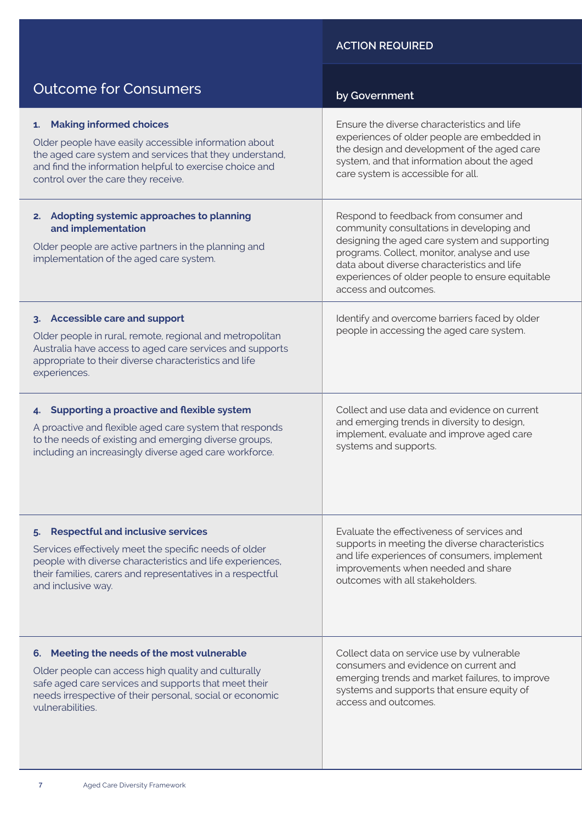#### **ACTION REQUIRED**

| <b>Outcome for Consumers</b>                                                                                                                                                                                                    | by Government                                                                                                                                                                                                                                                                                                |  |
|---------------------------------------------------------------------------------------------------------------------------------------------------------------------------------------------------------------------------------|--------------------------------------------------------------------------------------------------------------------------------------------------------------------------------------------------------------------------------------------------------------------------------------------------------------|--|
| 1. Making informed choices                                                                                                                                                                                                      | Ensure the diverse characteristics and life                                                                                                                                                                                                                                                                  |  |
| Older people have easily accessible information about                                                                                                                                                                           | experiences of older people are embedded in                                                                                                                                                                                                                                                                  |  |
| the aged care system and services that they understand,                                                                                                                                                                         | the design and development of the aged care                                                                                                                                                                                                                                                                  |  |
| and find the information helpful to exercise choice and                                                                                                                                                                         | system, and that information about the aged                                                                                                                                                                                                                                                                  |  |
| control over the care they receive.                                                                                                                                                                                             | care system is accessible for all.                                                                                                                                                                                                                                                                           |  |
| 2. Adopting systemic approaches to planning<br>and implementation<br>Older people are active partners in the planning and<br>implementation of the aged care system.                                                            | Respond to feedback from consumer and<br>community consultations in developing and<br>designing the aged care system and supporting<br>programs. Collect, monitor, analyse and use<br>data about diverse characteristics and life<br>experiences of older people to ensure equitable<br>access and outcomes. |  |
| 3. Accessible care and support<br>Older people in rural, remote, regional and metropolitan<br>Australia have access to aged care services and supports<br>appropriate to their diverse characteristics and life<br>experiences. | Identify and overcome barriers faced by older<br>people in accessing the aged care system.                                                                                                                                                                                                                   |  |
| 4. Supporting a proactive and flexible system                                                                                                                                                                                   | Collect and use data and evidence on current                                                                                                                                                                                                                                                                 |  |
| A proactive and flexible aged care system that responds                                                                                                                                                                         | and emerging trends in diversity to design,                                                                                                                                                                                                                                                                  |  |
| to the needs of existing and emerging diverse groups,                                                                                                                                                                           | implement, evaluate and improve aged care                                                                                                                                                                                                                                                                    |  |
| including an increasingly diverse aged care workforce.                                                                                                                                                                          | systems and supports.                                                                                                                                                                                                                                                                                        |  |
| <b>Respectful and inclusive services</b>                                                                                                                                                                                        | Evaluate the effectiveness of services and                                                                                                                                                                                                                                                                   |  |
| Services effectively meet the specific needs of older                                                                                                                                                                           | supports in meeting the diverse characteristics                                                                                                                                                                                                                                                              |  |
| people with diverse characteristics and life experiences,                                                                                                                                                                       | and life experiences of consumers, implement                                                                                                                                                                                                                                                                 |  |
| their families, carers and representatives in a respectful                                                                                                                                                                      | improvements when needed and share                                                                                                                                                                                                                                                                           |  |
| and inclusive way.                                                                                                                                                                                                              | outcomes with all stakeholders.                                                                                                                                                                                                                                                                              |  |
| 6. Meeting the needs of the most vulnerable                                                                                                                                                                                     | Collect data on service use by vulnerable                                                                                                                                                                                                                                                                    |  |
| Older people can access high quality and culturally                                                                                                                                                                             | consumers and evidence on current and                                                                                                                                                                                                                                                                        |  |
| safe aged care services and supports that meet their                                                                                                                                                                            | emerging trends and market failures, to improve                                                                                                                                                                                                                                                              |  |
| needs irrespective of their personal, social or economic                                                                                                                                                                        | systems and supports that ensure equity of                                                                                                                                                                                                                                                                   |  |
| vulnerabilities.                                                                                                                                                                                                                | access and outcomes.                                                                                                                                                                                                                                                                                         |  |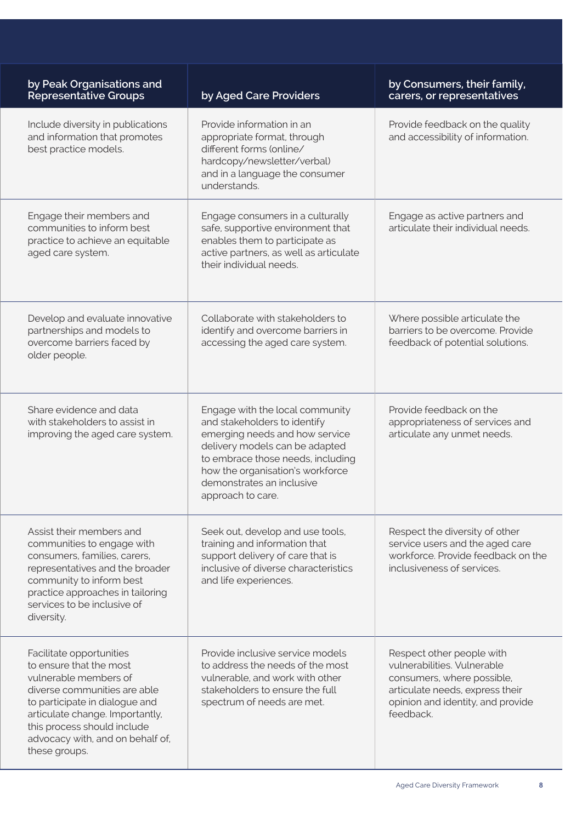| by Peak Organisations and<br><b>Representative Groups</b>                                                                                                                                                                                                             | by Aged Care Providers                                                                                                                                                                                                                                         | by Consumers, their family,<br>carers, or representatives                                                                                                                   |
|-----------------------------------------------------------------------------------------------------------------------------------------------------------------------------------------------------------------------------------------------------------------------|----------------------------------------------------------------------------------------------------------------------------------------------------------------------------------------------------------------------------------------------------------------|-----------------------------------------------------------------------------------------------------------------------------------------------------------------------------|
| Include diversity in publications<br>and information that promotes<br>best practice models.                                                                                                                                                                           | Provide information in an<br>appropriate format, through<br>different forms (online/<br>hardcopy/newsletter/verbal)<br>and in a language the consumer<br>understands.                                                                                          | Provide feedback on the quality<br>and accessibility of information.                                                                                                        |
| Engage their members and<br>communities to inform best<br>practice to achieve an equitable<br>aged care system.                                                                                                                                                       | Engage consumers in a culturally<br>safe, supportive environment that<br>enables them to participate as<br>active partners, as well as articulate<br>their individual needs.                                                                                   | Engage as active partners and<br>articulate their individual needs.                                                                                                         |
| Develop and evaluate innovative<br>partnerships and models to<br>overcome barriers faced by<br>older people.                                                                                                                                                          | Collaborate with stakeholders to<br>identify and overcome barriers in<br>accessing the aged care system.                                                                                                                                                       | Where possible articulate the<br>barriers to be overcome. Provide<br>feedback of potential solutions.                                                                       |
| Share evidence and data<br>with stakeholders to assist in<br>improving the aged care system.                                                                                                                                                                          | Engage with the local community<br>and stakeholders to identify<br>emerging needs and how service<br>delivery models can be adapted<br>to embrace those needs, including<br>how the organisation's workforce<br>demonstrates an inclusive<br>approach to care. | Provide feedback on the<br>appropriateness of services and<br>articulate any unmet needs.                                                                                   |
| Assist their members and<br>communities to engage with<br>consumers, families, carers,<br>representatives and the broader<br>community to inform best<br>practice approaches in tailoring<br>services to be inclusive of<br>diversity.                                | Seek out, develop and use tools,<br>training and information that<br>support delivery of care that is<br>inclusive of diverse characteristics<br>and life experiences.                                                                                         | Respect the diversity of other<br>service users and the aged care<br>workforce. Provide feedback on the<br>inclusiveness of services.                                       |
| Facilitate opportunities<br>to ensure that the most<br>vulnerable members of<br>diverse communities are able<br>to participate in dialogue and<br>articulate change. Importantly,<br>this process should include<br>advocacy with, and on behalf of,<br>these groups. | Provide inclusive service models<br>to address the needs of the most<br>vulnerable, and work with other<br>stakeholders to ensure the full<br>spectrum of needs are met.                                                                                       | Respect other people with<br>vulnerabilities. Vulnerable<br>consumers, where possible,<br>articulate needs, express their<br>opinion and identity, and provide<br>feedback. |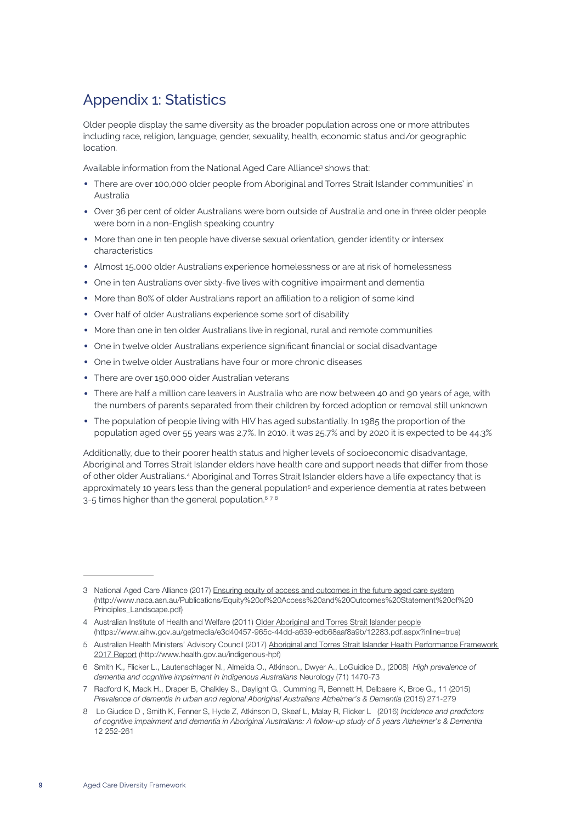# Appendix 1: Statistics

Older people display the same diversity as the broader population across one or more attributes including race, religion, language, gender, sexuality, health, economic status and/or geographic location.

Available information from the National Aged Care Alliance<sup>3</sup> shows that:

- There are over 100,000 older people from Aboriginal and Torres Strait Islander communities' in Australia
- Over 36 per cent of older Australians were born outside of Australia and one in three older people were born in a non-English speaking country
- More than one in ten people have diverse sexual orientation, gender identity or intersex characteristics
- Almost 15,000 older Australians experience homelessness or are at risk of homelessness
- One in ten Australians over sixty-five lives with cognitive impairment and dementia
- More than 80% of older Australians report an affiliation to a religion of some kind
- Over half of older Australians experience some sort of disability
- More than one in ten older Australians live in regional, rural and remote communities
- One in twelve older Australians experience significant financial or social disadvantage
- One in twelve older Australians have four or more chronic diseases
- There are over 150,000 older Australian veterans
- There are half a million care leavers in Australia who are now between 40 and 90 years of age, with the numbers of parents separated from their children by forced adoption or removal still unknown
- The population of people living with HIV has aged substantially. In 1985 the proportion of the population aged over 55 years was 2.7%. In 2010, it was 25.7% and by 2020 it is expected to be 44.3%

Additionally, due to their poorer health status and higher levels of socioeconomic disadvantage, Aboriginal and Torres Strait Islander elders have health care and support needs that differ from those of other older Australians.4 Aboriginal and Torres Strait Islander elders have a life expectancy that is approximately 10 years less than the general population<sup>5</sup> and experience dementia at rates between 3-5 times higher than the general population.<sup>678</sup>

7 Radford K, Mack H., Draper B, Chalkley S., Daylight G., Cumming R, Bennett H, Delbaere K, Broe G., 11 (2015) Prevalence of dementia in urban and regional Aboriginal Australians Alzheimer's & Dementia (2015) 271-279

<sup>3</sup> National Aged Care Alliance (2017) Ensuring equity of access and outcomes in the future aged care system (http://www.naca.asn.au/Publications/Equity%20of%20Access%20and%20Outcomes%20Statement%20of%20 Principles\_Landscape.pdf)

<sup>4</sup> Australian Institute of Health and Welfare (2011) Older Aboriginal and Torres Strait Islander people (https://www.aihw.gov.au/getmedia/e3d40457-965c-44dd-a639-edb68aaf8a9b/12283.pdf.aspx?inline=true)

<sup>5</sup> Australian Health Ministers' Advisory Council (2017) Aboriginal and Torres Strait Islander Health Performance Framework 2017 Report (http://www.health.gov.au/indigenous-hpf)

<sup>6</sup> Smith K., Flicker L., Lautenschlager N., Almeida O., Atkinson., Dwyer A., LoGuidice D., (2008) *High prevalence of dementia and cognitive impairment in Indigenous Australians* Neurology (71) 1470-73

<sup>8</sup> Lo Giudice D , Smith K, Fenner S, Hyde Z, Atkinson D, Skeaf L, Malay R, Flicker L (2016) *Incidence and predictors of cognitive impairment and dementia in Aboriginal Australians: A follow-up study of 5 years Alzheimer's & Dementia* 12 252-261